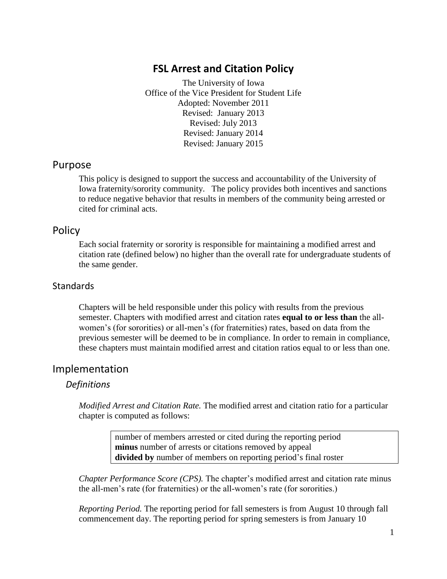# **FSL Arrest and Citation Policy**

The University of Iowa Office of the Vice President for Student Life Adopted: November 2011 Revised: January 2013 Revised: July 2013 Revised: January 2014 Revised: January 2015

## Purpose

This policy is designed to support the success and accountability of the University of Iowa fraternity/sorority community. The policy provides both incentives and sanctions to reduce negative behavior that results in members of the community being arrested or cited for criminal acts.

## Policy

Each social fraternity or sorority is responsible for maintaining a modified arrest and citation rate (defined below) no higher than the overall rate for undergraduate students of the same gender.

### **Standards**

Chapters will be held responsible under this policy with results from the previous semester. Chapters with modified arrest and citation rates **equal to or less than** the allwomen's (for sororities) or all-men's (for fraternities) rates, based on data from the previous semester will be deemed to be in compliance. In order to remain in compliance, these chapters must maintain modified arrest and citation ratios equal to or less than one.

# Implementation

#### *Definitions*

*Modified Arrest and Citation Rate.* The modified arrest and citation ratio for a particular chapter is computed as follows:

> number of members arrested or cited during the reporting period **minus** number of arrests or citations removed by appeal **divided by** number of members on reporting period's final roster

*Chapter Performance Score (CPS).* The chapter's modified arrest and citation rate minus the all-men's rate (for fraternities) or the all-women's rate (for sororities.)

*Reporting Period.* The reporting period for fall semesters is from August 10 through fall commencement day. The reporting period for spring semesters is from January 10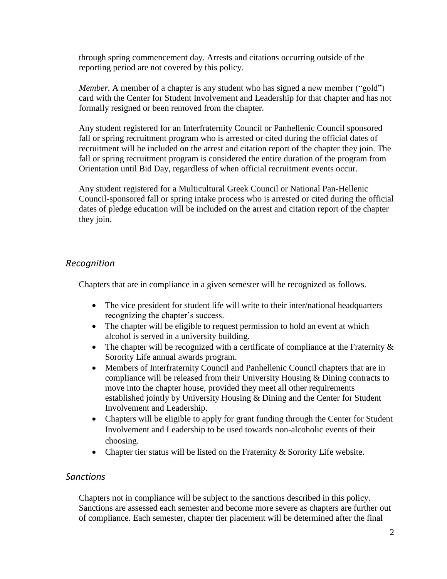through spring commencement day. Arrests and citations occurring outside of the reporting period are not covered by this policy.

*Member.* A member of a chapter is any student who has signed a new member ("gold") card with the Center for Student Involvement and Leadership for that chapter and has not formally resigned or been removed from the chapter.

Any student registered for an Interfraternity Council or Panhellenic Council sponsored fall or spring recruitment program who is arrested or cited during the official dates of recruitment will be included on the arrest and citation report of the chapter they join. The fall or spring recruitment program is considered the entire duration of the program from Orientation until Bid Day, regardless of when official recruitment events occur.

Any student registered for a Multicultural Greek Council or National Pan-Hellenic Council-sponsored fall or spring intake process who is arrested or cited during the official dates of pledge education will be included on the arrest and citation report of the chapter they join.

## *Recognition*

Chapters that are in compliance in a given semester will be recognized as follows.

- The vice president for student life will write to their inter/national headquarters recognizing the chapter's success.
- The chapter will be eligible to request permission to hold an event at which alcohol is served in a university building.
- The chapter will be recognized with a certificate of compliance at the Fraternity  $\&$ Sorority Life annual awards program.
- Members of Interfraternity Council and Panhellenic Council chapters that are in compliance will be released from their University Housing & Dining contracts to move into the chapter house, provided they meet all other requirements established jointly by University Housing & Dining and the Center for Student Involvement and Leadership.
- Chapters will be eligible to apply for grant funding through the Center for Student Involvement and Leadership to be used towards non-alcoholic events of their choosing.
- Chapter tier status will be listed on the Fraternity & Sorority Life website.

#### *Sanctions*

Chapters not in compliance will be subject to the sanctions described in this policy. Sanctions are assessed each semester and become more severe as chapters are further out of compliance. Each semester, chapter tier placement will be determined after the final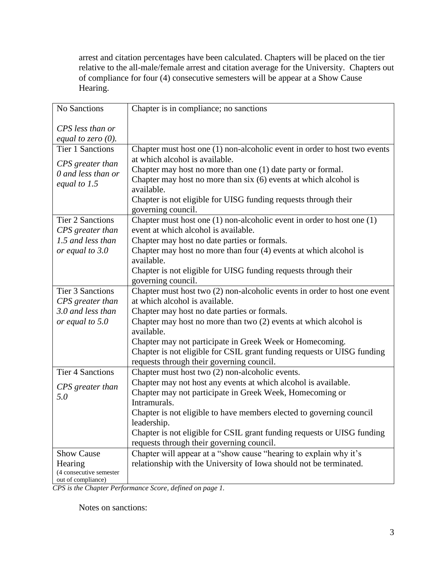arrest and citation percentages have been calculated. Chapters will be placed on the tier relative to the all-male/female arrest and citation average for the University. Chapters out of compliance for four (4) consecutive semesters will be appear at a Show Cause Hearing.

| No Sanctions            | Chapter is in compliance; no sanctions                                         |
|-------------------------|--------------------------------------------------------------------------------|
| CPS less than or        |                                                                                |
| equal to zero $(0)$ .   |                                                                                |
| <b>Tier 1 Sanctions</b> | Chapter must host one $(1)$ non-alcoholic event in order to host two events    |
|                         | at which alcohol is available.                                                 |
| CPS greater than        | Chapter may host no more than one (1) date party or formal.                    |
| 0 and less than or      | Chapter may host no more than six (6) events at which alcohol is               |
| equal to 1.5            | available.                                                                     |
|                         | Chapter is not eligible for UISG funding requests through their                |
|                         | governing council.                                                             |
| <b>Tier 2 Sanctions</b> | Chapter must host one $(1)$ non-alcoholic event in order to host one $(1)$     |
| CPS greater than        | event at which alcohol is available.                                           |
| 1.5 and less than       | Chapter may host no date parties or formals.                                   |
| or equal to 3.0         | Chapter may host no more than four (4) events at which alcohol is              |
|                         | available.                                                                     |
|                         | Chapter is not eligible for UISG funding requests through their                |
|                         | governing council.                                                             |
| <b>Tier 3 Sanctions</b> | Chapter must host two (2) non-alcoholic events in order to host one event      |
| CPS greater than        | at which alcohol is available.                                                 |
| 3.0 and less than       | Chapter may host no date parties or formals.                                   |
| or equal to 5.0         | Chapter may host no more than two (2) events at which alcohol is<br>available. |
|                         | Chapter may not participate in Greek Week or Homecoming.                       |
|                         | Chapter is not eligible for CSIL grant funding requests or UISG funding        |
|                         | requests through their governing council.                                      |
| <b>Tier 4 Sanctions</b> | Chapter must host two (2) non-alcoholic events.                                |
|                         | Chapter may not host any events at which alcohol is available.                 |
| CPS greater than        | Chapter may not participate in Greek Week, Homecoming or                       |
| 5.0                     | Intramurals.                                                                   |
|                         | Chapter is not eligible to have members elected to governing council           |
|                         | leadership.                                                                    |
|                         | Chapter is not eligible for CSIL grant funding requests or UISG funding        |
|                         | requests through their governing council.                                      |
| <b>Show Cause</b>       | Chapter will appear at a "show cause "hearing to explain why it's              |
| Hearing                 | relationship with the University of Iowa should not be terminated.             |
| (4 consecutive semester |                                                                                |
| out of compliance)      |                                                                                |

*CPS is the Chapter Performance Score, defined on page 1.*

Notes on sanctions: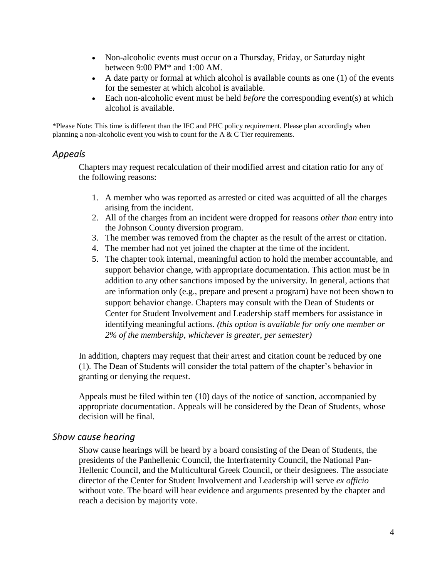- Non-alcoholic events must occur on a Thursday, Friday, or Saturday night between 9:00 PM\* and 1:00 AM.
- A date party or formal at which alcohol is available counts as one (1) of the events for the semester at which alcohol is available.
- Each non-alcoholic event must be held *before* the corresponding event(s) at which alcohol is available.

\*Please Note: This time is different than the IFC and PHC policy requirement. Please plan accordingly when planning a non-alcoholic event you wish to count for the A & C Tier requirements.

#### *Appeals*

Chapters may request recalculation of their modified arrest and citation ratio for any of the following reasons:

- 1. A member who was reported as arrested or cited was acquitted of all the charges arising from the incident.
- 2. All of the charges from an incident were dropped for reasons *other than* entry into the Johnson County diversion program.
- 3. The member was removed from the chapter as the result of the arrest or citation.
- 4. The member had not yet joined the chapter at the time of the incident.
- 5. The chapter took internal, meaningful action to hold the member accountable, and support behavior change, with appropriate documentation. This action must be in addition to any other sanctions imposed by the university. In general, actions that are information only (e.g., prepare and present a program) have not been shown to support behavior change. Chapters may consult with the Dean of Students or Center for Student Involvement and Leadership staff members for assistance in identifying meaningful actions. *(this option is available for only one member or 2% of the membership, whichever is greater, per semester)*

In addition, chapters may request that their arrest and citation count be reduced by one (1). The Dean of Students will consider the total pattern of the chapter's behavior in granting or denying the request.

Appeals must be filed within ten (10) days of the notice of sanction, accompanied by appropriate documentation. Appeals will be considered by the Dean of Students, whose decision will be final.

#### *Show cause hearing*

Show cause hearings will be heard by a board consisting of the Dean of Students, the presidents of the Panhellenic Council, the Interfraternity Council, the National Pan-Hellenic Council, and the Multicultural Greek Council, or their designees. The associate director of the Center for Student Involvement and Leadership will serve *ex officio* without vote. The board will hear evidence and arguments presented by the chapter and reach a decision by majority vote.